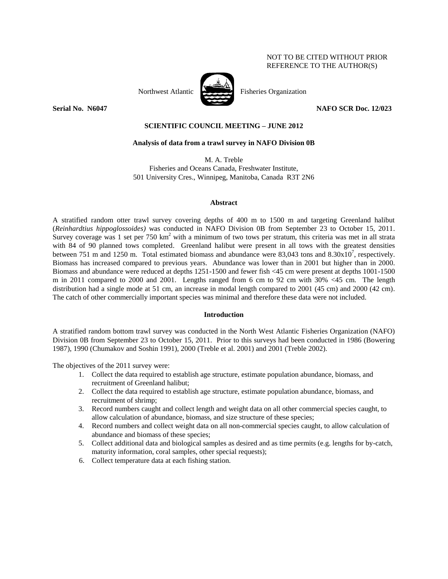## NOT TO BE CITED WITHOUT PRIOR REFERENCE TO THE AUTHOR(S)



Northwest Atlantic Fisheries Organization

**Serial No. 12/023 NAFO SCR Doc. 12/023** 

# **SCIENTIFIC COUNCIL MEETING – JUNE 2012**

## **Analysis of data from a trawl survey in NAFO Division 0B**

M. A. Treble Fisheries and Oceans Canada, Freshwater Institute, 501 University Cres., Winnipeg, Manitoba, Canada R3T 2N6

### **Abstract**

A stratified random otter trawl survey covering depths of 400 m to 1500 m and targeting Greenland halibut (*Reinhardtius hippoglossoides)* was conducted in NAFO Division 0B from September 23 to October 15, 2011. Survey coverage was 1 set per  $750 \text{ km}^2$  with a minimum of two tows per stratum, this criteria was met in all strata with 84 of 90 planned tows completed. Greenland halibut were present in all tows with the greatest densities between 751 m and 1250 m. Total estimated biomass and abundance were 83,043 tons and  $8.30 \times 10^7$ , respectively. Biomass has increased compared to previous years. Abundance was lower than in 2001 but higher than in 2000. Biomass and abundance were reduced at depths 1251-1500 and fewer fish <45 cm were present at depths 1001-1500 m in 2011 compared to 2000 and 2001. Lengths ranged from 6 cm to 92 cm with 30% <45 cm. The length distribution had a single mode at 51 cm, an increase in modal length compared to 2001 (45 cm) and 2000 (42 cm). The catch of other commercially important species was minimal and therefore these data were not included.

# **Introduction**

A stratified random bottom trawl survey was conducted in the North West Atlantic Fisheries Organization (NAFO) Division 0B from September 23 to October 15, 2011. Prior to this surveys had been conducted in 1986 (Bowering 1987), 1990 (Chumakov and Soshin 1991), 2000 (Treble et al. 2001) and 2001 (Treble 2002).

The objectives of the 2011 survey were:

- 1. Collect the data required to establish age structure, estimate population abundance, biomass, and recruitment of Greenland halibut;
- 2. Collect the data required to establish age structure, estimate population abundance, biomass, and recruitment of shrimp;
- 3. Record numbers caught and collect length and weight data on all other commercial species caught, to allow calculation of abundance, biomass, and size structure of these species;
- 4. Record numbers and collect weight data on all non-commercial species caught, to allow calculation of abundance and biomass of these species;
- 5. Collect additional data and biological samples as desired and as time permits (e.g. lengths for by-catch, maturity information, coral samples, other special requests);
- 6. Collect temperature data at each fishing station.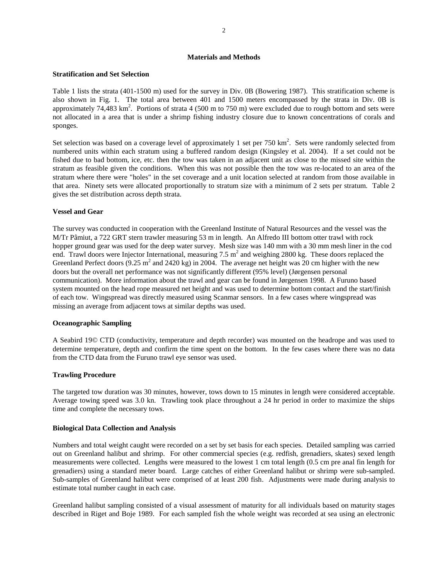#### **Materials and Methods**

#### **Stratification and Set Selection**

Table 1 lists the strata (401-1500 m) used for the survey in Div. 0B (Bowering 1987). This stratification scheme is also shown in Fig. 1. The total area between 401 and 1500 meters encompassed by the strata in Div. 0B is approximately  $74,483 \text{ km}^2$ . Portions of strata 4 (500 m to 750 m) were excluded due to rough bottom and sets were not allocated in a area that is under a shrimp fishing industry closure due to known concentrations of corals and sponges.

Set selection was based on a coverage level of approximately 1 set per 750 km<sup>2</sup>. Sets were randomly selected from numbered units within each stratum using a buffered random design (Kingsley et al. 2004). If a set could not be fished due to bad bottom, ice, etc. then the tow was taken in an adjacent unit as close to the missed site within the stratum as feasible given the conditions. When this was not possible then the tow was re-located to an area of the stratum where there were "holes" in the set coverage and a unit location selected at random from those available in that area. Ninety sets were allocated proportionally to stratum size with a minimum of 2 sets per stratum. Table 2 gives the set distribution across depth strata.

### **Vessel and Gear**

The survey was conducted in cooperation with the Greenland Institute of Natural Resources and the vessel was the M/Tr Pâmiut, a 722 GRT stern trawler measuring 53 m in length. An Alfredo III bottom otter trawl with rock hopper ground gear was used for the deep water survey. Mesh size was 140 mm with a 30 mm mesh liner in the cod end. Trawl doors were Injector International, measuring 7.5  $m<sup>2</sup>$  and weighing 2800 kg. These doors replaced the Greenland Perfect doors (9.25  $m^2$  and 2420 kg) in 2004. The average net height was 20 cm higher with the new doors but the overall net performance was not significantly different (95% level) (Jørgensen personal communication). More information about the trawl and gear can be found in Jørgensen 1998. A Furuno based system mounted on the head rope measured net height and was used to determine bottom contact and the start/finish of each tow. Wingspread was directly measured using Scanmar sensors. In a few cases where wingspread was missing an average from adjacent tows at similar depths was used.

### **Oceanographic Sampling**

A Seabird 19© CTD (conductivity, temperature and depth recorder) was mounted on the headrope and was used to determine temperature, depth and confirm the time spent on the bottom. In the few cases where there was no data from the CTD data from the Furuno trawl eye sensor was used.

## **Trawling Procedure**

The targeted tow duration was 30 minutes, however, tows down to 15 minutes in length were considered acceptable. Average towing speed was 3.0 kn. Trawling took place throughout a 24 hr period in order to maximize the ships time and complete the necessary tows.

#### **Biological Data Collection and Analysis**

Numbers and total weight caught were recorded on a set by set basis for each species. Detailed sampling was carried out on Greenland halibut and shrimp. For other commercial species (e.g. redfish, grenadiers, skates) sexed length measurements were collected. Lengths were measured to the lowest 1 cm total length (0.5 cm pre anal fin length for grenadiers) using a standard meter board. Large catches of either Greenland halibut or shrimp were sub-sampled. Sub-samples of Greenland halibut were comprised of at least 200 fish. Adjustments were made during analysis to estimate total number caught in each case.

Greenland halibut sampling consisted of a visual assessment of maturity for all individuals based on maturity stages described in Riget and Boje 1989. For each sampled fish the whole weight was recorded at sea using an electronic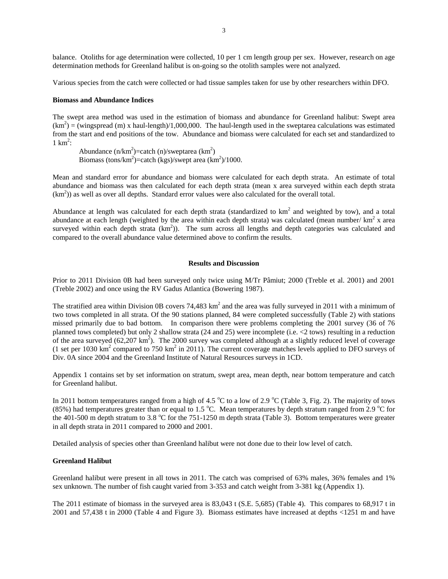balance. Otoliths for age determination were collected, 10 per 1 cm length group per sex. However, research on age determination methods for Greenland halibut is on-going so the otolith samples were not analyzed.

Various species from the catch were collected or had tissue samples taken for use by other researchers within DFO.

#### **Biomass and Abundance Indices**

The swept area method was used in the estimation of biomass and abundance for Greenland halibut: Swept area  $(km^2)$  = (wingspread (m) x haul-length)/1,000,000. The haul-length used in the sweptarea calculations was estimated from the start and end positions of the tow. Abundance and biomass were calculated for each set and standardized to  $1 \text{ km}^2$ :

Abundance  $(n/km^2)$ =catch  $(n)/$ sweptarea  $(km^2)$ Biomass (tons/ $km^2$ )=catch (kgs)/swept area (km<sup>2</sup>)/1000.

Mean and standard error for abundance and biomass were calculated for each depth strata. An estimate of total abundance and biomass was then calculated for each depth strata (mean x area surveyed within each depth strata  $(km<sup>2</sup>)$ ) as well as over all depths. Standard error values were also calculated for the overall total.

Abundance at length was calculated for each depth strata (standardized to  $km^2$  and weighted by tow), and a total abundance at each length (weighted by the area within each depth strata) was calculated (mean number/ $km^2$  x area surveyed within each depth strata  $(km^2)$ ). The sum across all lengths and depth categories was calculated and compared to the overall abundance value determined above to confirm the results.

## **Results and Discussion**

Prior to 2011 Division 0B had been surveyed only twice using M/Tr Pâmiut; 2000 (Treble et al. 2001) and 2001 (Treble 2002) and once using the RV Gadus Atlantica (Bowering 1987).

The stratified area within Division 0B covers 74,483  $km^2$  and the area was fully surveyed in 2011 with a minimum of two tows completed in all strata. Of the 90 stations planned, 84 were completed successfully (Table 2) with stations missed primarily due to bad bottom. In comparison there were problems completing the 2001 survey (36 of 76 planned tows completed) but only 2 shallow strata (24 and 25) were incomplete (i.e. <2 tows) resulting in a reduction of the area surveyed (62,207 km<sup>2</sup>). The 2000 survey was completed although at a slightly reduced level of coverage (1 set per 1030  $\text{km}^2$  compared to 750  $\text{km}^2$  in 2011). The current coverage matches levels applied to DFO surveys of Div. 0A since 2004 and the Greenland Institute of Natural Resources surveys in 1CD.

Appendix 1 contains set by set information on stratum, swept area, mean depth, near bottom temperature and catch for Greenland halibut.

In 2011 bottom temperatures ranged from a high of 4.5  $^{\circ}$ C to a low of 2.9  $^{\circ}$ C (Table 3, Fig. 2). The majority of tows (85%) had temperatures greater than or equal to 1.5 °C. Mean temperatures by depth stratum ranged from 2.9 °C for the 401-500 m depth stratum to 3.8 °C for the 751-1250 m depth strata (Table 3). Bottom temperatures were greater in all depth strata in 2011 compared to 2000 and 2001.

Detailed analysis of species other than Greenland halibut were not done due to their low level of catch.

#### **Greenland Halibut**

Greenland halibut were present in all tows in 2011. The catch was comprised of 63% males, 36% females and 1% sex unknown. The number of fish caught varied from 3-353 and catch weight from 3-381 kg (Appendix 1).

The 2011 estimate of biomass in the surveyed area is 83,043 t (S.E. 5,685) (Table 4). This compares to 68,917 t in 2001 and 57,438 t in 2000 (Table 4 and Figure 3). Biomass estimates have increased at depths <1251 m and have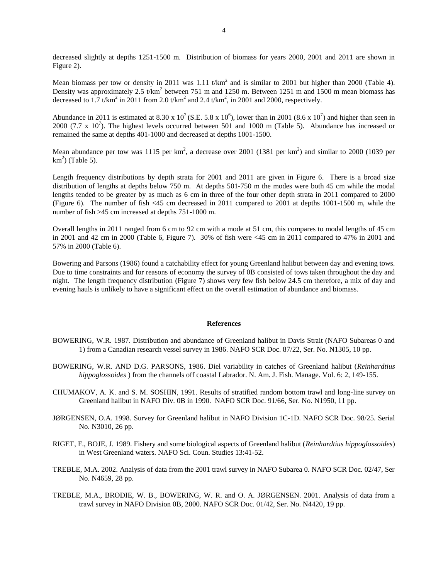decreased slightly at depths 1251-1500 m. Distribution of biomass for years 2000, 2001 and 2011 are shown in Figure 2).

Mean biomass per tow or density in 2011 was 1.11  $t/km<sup>2</sup>$  and is similar to 2001 but higher than 2000 (Table 4). Density was approximately 2.5  $t/km^2$  between 751 m and 1250 m. Between 1251 m and 1500 m mean biomass has decreased to 1.7 t/km<sup>2</sup> in 2011 from 2.0 t/km<sup>2</sup> and 2.4 t/km<sup>2</sup>, in 2001 and 2000, respectively.

Abundance in 2011 is estimated at 8.30 x  $10^7$  (S.E. 5.8 x  $10^6$ ), lower than in 2001 (8.6 x  $10^7$ ) and higher than seen in 2000 (7.7 x  $10^7$ ). The highest levels occurred between 501 and 1000 m (Table 5). Abundance has increased or remained the same at depths 401-1000 and decreased at depths 1001-1500.

Mean abundance per tow was 1115 per  $km^2$ , a decrease over 2001 (1381 per  $km^2$ ) and similar to 2000 (1039 per  $km<sup>2</sup>$ ) (Table 5).

Length frequency distributions by depth strata for 2001 and 2011 are given in Figure 6. There is a broad size distribution of lengths at depths below 750 m. At depths 501-750 m the modes were both 45 cm while the modal lengths tended to be greater by as much as 6 cm in three of the four other depth strata in 2011 compared to 2000 (Figure 6). The number of fish <45 cm decreased in 2011 compared to 2001 at depths 1001-1500 m, while the number of fish >45 cm increased at depths 751-1000 m.

Overall lengths in 2011 ranged from 6 cm to 92 cm with a mode at 51 cm, this compares to modal lengths of 45 cm in 2001 and 42 cm in 2000 (Table 6, Figure 7). 30% of fish were <45 cm in 2011 compared to 47% in 2001 and 57% in 2000 (Table 6).

Bowering and Parsons (1986) found a catchability effect for young Greenland halibut between day and evening tows. Due to time constraints and for reasons of economy the survey of 0B consisted of tows taken throughout the day and night. The length frequency distribution (Figure 7) shows very few fish below 24.5 cm therefore, a mix of day and evening hauls is unlikely to have a significant effect on the overall estimation of abundance and biomass.

#### **References**

- BOWERING, W.R. 1987. Distribution and abundance of Greenland halibut in Davis Strait (NAFO Subareas 0 and 1) from a Canadian research vessel survey in 1986. NAFO SCR Doc. 87/22, Ser. No. N1305, 10 pp.
- BOWERING, W.R. AND D.G. PARSONS, 1986. Diel variability in catches of Greenland halibut (*Reinhardtius hippoglossoides* ) from the channels off coastal Labrador. N. Am. J. Fish. Manage. Vol. 6: 2, 149-155.
- CHUMAKOV, A. K. and S. M. SOSHIN, 1991. Results of stratified random bottom trawl and long-line survey on Greenland halibut in NAFO Div. 0B in 1990. NAFO SCR Doc. 91/66, Ser. No. N1950, 11 pp.
- JØRGENSEN, O.A. 1998. Survey for Greenland halibut in NAFO Division 1C-1D. NAFO SCR Doc. 98/25. Serial No. N3010, 26 pp.
- RIGET, F., BOJE, J. 1989. Fishery and some biological aspects of Greenland halibut (*Reinhardtius hippoglossoides*) in West Greenland waters. NAFO Sci. Coun. Studies 13:41-52.
- TREBLE, M.A. 2002. Analysis of data from the 2001 trawl survey in NAFO Subarea 0. NAFO SCR Doc. 02/47, Ser No. N4659, 28 pp.
- TREBLE, M.A., BRODIE, W. B., BOWERING, W. R. and O. A. JØRGENSEN. 2001. Analysis of data from a trawl survey in NAFO Division 0B, 2000. NAFO SCR Doc. 01/42, Ser. No. N4420, 19 pp.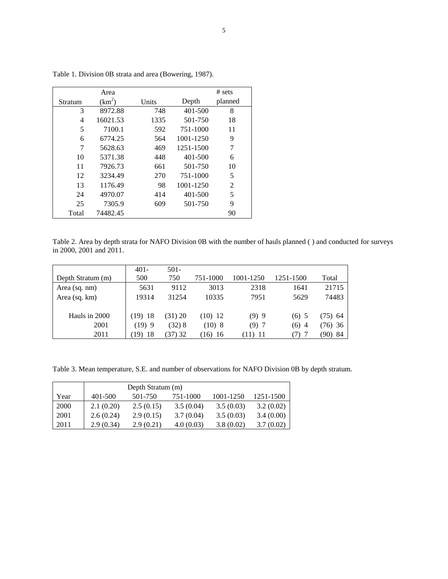|         | Area     |       |           | # sets         |
|---------|----------|-------|-----------|----------------|
| Stratum | $(km^2)$ | Units | Depth     | planned        |
| 3       | 8972.88  | 748   | 401-500   | 8              |
| 4       | 16021.53 | 1335  | 501-750   | 18             |
| 5       | 7100.1   | 592   | 751-1000  | 11             |
| 6       | 6774.25  | 564   | 1001-1250 | 9              |
| 7       | 5628.63  | 469   | 1251-1500 | 7              |
| 10      | 5371.38  | 448   | 401-500   | 6              |
| 11      | 7926.73  | 661   | 501-750   | 10             |
| 12      | 3234.49  | 270   | 751-1000  | 5              |
| 13      | 1176.49  | 98    | 1001-1250 | $\overline{2}$ |
| 24      | 4970.07  | 414   | 401-500   | 5              |
| 25      | 7305.9   | 609   | 501-750   | 9              |
| Total   | 74482.45 |       |           | 90             |

Table 1. Division 0B strata and area (Bowering, 1987).

Table 2. Area by depth strata for NAFO Division 0B with the number of hauls planned ( ) and conducted for surveys in 2000, 2001 and 2011.

| Depth Stratum (m) | $401 -$<br>500 | $501 -$<br>750 | 751-1000  | 1001-1250 | 1251-1500 | Total       |
|-------------------|----------------|----------------|-----------|-----------|-----------|-------------|
| Area (sq. nm)     | 5631           | 9112           | 3013      | 2318      | 1641      | 21715       |
| Area (sq. km)     | 19314          | 31254          | 10335     | 7951      | 5629      | 74483       |
|                   |                |                |           |           |           |             |
| Hauls in 2000     | $(19)$ 18      | (31) 20        | $(10)$ 12 | (9)9      | $(6)$ 5   | (75) 64     |
| 2001              | (19)9          | (32) 8         | (10)8     | (9)7      | (6) 4     | (76)36      |
| 2011              | 18<br>[19]     | (37) 32        | $(16)$ 16 | (11) 11   | 7)        | 90).<br>-84 |

Table 3. Mean temperature, S.E. and number of observations for NAFO Division 0B by depth stratum.

|      | Depth Stratum (m) |           |           |           |           |  |  |  |  |
|------|-------------------|-----------|-----------|-----------|-----------|--|--|--|--|
| Year | 401-500           | 501-750   | 751-1000  | 1001-1250 | 1251-1500 |  |  |  |  |
| 2000 | 2.1(0.20)         | 2.5(0.15) | 3.5(0.04) | 3.5(0.03) | 3.2(0.02) |  |  |  |  |
| 2001 | 2.6(0.24)         | 2.9(0.15) | 3.7(0.04) | 3.5(0.03) | 3.4(0.00) |  |  |  |  |
| 2011 | 2.9(0.34)         | 2.9(0.21) | 4.0(0.03) | 3.8(0.02) | 3.7(0.02) |  |  |  |  |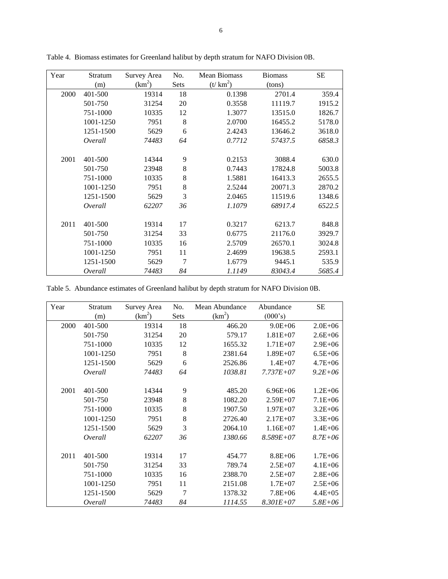| Year | Stratum   | No.<br>Mean Biomass<br>Survey Area |      | <b>Biomass</b> | <b>SE</b> |        |
|------|-----------|------------------------------------|------|----------------|-----------|--------|
|      | (m)       | (km <sup>2</sup> )                 | Sets | $(t/km^2)$     | (tons)    |        |
| 2000 | 401-500   | 19314                              | 18   | 0.1398         | 2701.4    | 359.4  |
|      | 501-750   | 31254                              | 20   | 0.3558         | 11119.7   | 1915.2 |
|      | 751-1000  | 10335                              | 12   | 1.3077         | 13515.0   | 1826.7 |
|      | 1001-1250 | 7951                               | 8    | 2.0700         | 16455.2   | 5178.0 |
|      | 1251-1500 | 5629                               | 6    | 2.4243         | 13646.2   | 3618.0 |
|      | Overall   | 74483                              | 64   | 0.7712         | 57437.5   | 6858.3 |
|      |           |                                    |      |                |           |        |
| 2001 | 401-500   | 14344                              | 9    | 0.2153         | 3088.4    | 630.0  |
|      | 501-750   | 23948                              | 8    | 0.7443         | 17824.8   | 5003.8 |
|      | 751-1000  | 10335                              | 8    | 1.5881         | 16413.3   | 2655.5 |
|      | 1001-1250 | 7951                               | 8    | 2.5244         | 20071.3   | 2870.2 |
|      | 1251-1500 | 5629                               | 3    | 2.0465         | 11519.6   | 1348.6 |
|      | Overall   | 62207                              | 36   | 1.1079         | 68917.4   | 6522.5 |
| 2011 | 401-500   | 19314                              | 17   | 0.3217         | 6213.7    | 848.8  |
|      | 501-750   | 31254                              | 33   | 0.6775         | 21176.0   | 3929.7 |
|      | 751-1000  | 10335                              | 16   | 2.5709         | 26570.1   | 3024.8 |
|      | 1001-1250 | 7951                               | 11   | 2.4699         | 19638.5   | 2593.1 |
|      |           |                                    | 7    |                |           |        |
|      | 1251-1500 | 5629                               |      | 1.6779         | 9445.1    | 535.9  |
|      | Overall   | 74483                              | 84   | 1.1149         | 83043.4   | 5685.4 |

Table 4. Biomass estimates for Greenland halibut by depth stratum for NAFO Division 0B.

Table 5. Abundance estimates of Greenland halibut by depth stratum for NAFO Division 0B.

| Year | Stratum   | Survey Area | No.  | Mean Abundance     | Abundance     | <b>SE</b>   |
|------|-----------|-------------|------|--------------------|---------------|-------------|
|      | (m)       | $(km^2)$    | Sets | (km <sup>2</sup> ) | (000's)       |             |
| 2000 | 401-500   | 19314       | 18   | 466.20             | $9.0E + 06$   | $2.0E + 06$ |
|      | 501-750   | 31254       | 20   | 579.17             | $1.81E + 07$  | $2.6E + 06$ |
|      | 751-1000  | 10335       | 12   | 1655.32            | $1.71E + 07$  | $2.9E + 06$ |
|      | 1001-1250 | 7951        | 8    | 2381.64            | $1.89E + 07$  | $6.5E + 06$ |
|      | 1251-1500 | 5629        | 6    | 2526.86            | $1.4E + 07$   | $4.7E + 06$ |
|      | Overall   | 74483       | 64   | 1038.81            | $7.737E + 07$ | $9.2E + 06$ |
|      |           |             |      |                    |               |             |
| 2001 | 401-500   | 14344       | 9    | 485.20             | $6.96E + 06$  | $1.2E + 06$ |
|      | 501-750   | 23948       | 8    | 1082.20            | $2.59E + 07$  | $7.1E + 06$ |
|      | 751-1000  | 10335       | 8    | 1907.50            | $1.97E + 07$  | $3.2E + 06$ |
|      | 1001-1250 | 7951        | 8    | 2726.40            | $2.17E + 07$  | $3.3E + 06$ |
|      | 1251-1500 | 5629        | 3    | 2064.10            | $1.16E+07$    | $1.4E + 06$ |
|      | Overall   | 62207       | 36   | 1380.66            | $8.589E + 07$ | $8.7E + 06$ |
| 2011 | 401-500   | 19314       | 17   | 454.77             | $8.8E + 06$   | $1.7E + 06$ |
|      | 501-750   | 31254       | 33   | 789.74             | $2.5E+07$     | $4.1E + 06$ |
|      | 751-1000  | 10335       | 16   | 2388.70            | $2.5E+07$     | $2.8E + 06$ |
|      | 1001-1250 | 7951        | 11   | 2151.08            | $1.7E + 07$   | $2.5E + 06$ |
|      | 1251-1500 | 5629        | 7    | 1378.32            | $7.8E + 06$   | $4.4E + 05$ |
|      |           |             |      |                    |               |             |
|      | Overall   | 74483       | 84   | 1114.55            | $8.301E + 07$ | $5.8E + 06$ |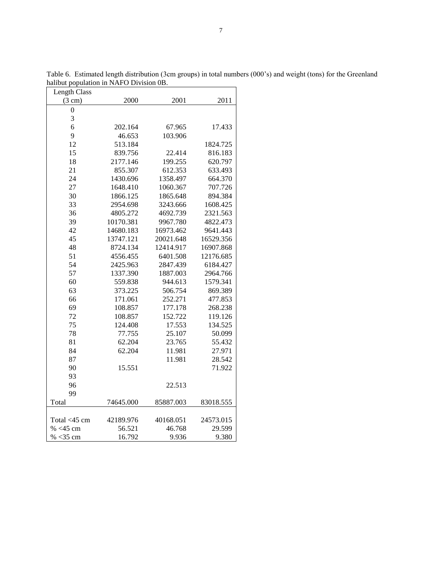| <b>Length Class</b> |           |           |           |
|---------------------|-----------|-----------|-----------|
| $(3 \text{ cm})$    | 2000      | 2001      | 2011      |
| $\overline{0}$      |           |           |           |
| 3                   |           |           |           |
| 6                   | 202.164   | 67.965    | 17.433    |
| 9                   | 46.653    | 103.906   |           |
| 12                  | 513.184   |           | 1824.725  |
| 15                  | 839.756   | 22.414    | 816.183   |
| 18                  | 2177.146  | 199.255   | 620.797   |
| 21                  | 855.307   | 612.353   | 633.493   |
| 24                  | 1430.696  | 1358.497  | 664.370   |
| 27                  | 1648.410  | 1060.367  | 707.726   |
| 30                  | 1866.125  | 1865.648  | 894.384   |
| 33                  | 2954.698  | 3243.666  | 1608.425  |
| 36                  | 4805.272  | 4692.739  | 2321.563  |
| 39                  | 10170.381 | 9967.780  | 4822.473  |
| 42                  | 14680.183 | 16973.462 | 9641.443  |
| 45                  | 13747.121 | 20021.648 | 16529.356 |
| 48                  | 8724.134  | 12414.917 | 16907.868 |
| 51                  | 4556.455  | 6401.508  | 12176.685 |
| 54                  | 2425.963  | 2847.439  | 6184.427  |
| 57                  | 1337.390  | 1887.003  | 2964.766  |
| 60                  | 559.838   | 944.613   | 1579.341  |
| 63                  | 373.225   | 506.754   | 869.389   |
| 66                  | 171.061   | 252.271   | 477.853   |
| 69                  | 108.857   | 177.178   | 268.238   |
| 72                  | 108.857   | 152.722   | 119.126   |
| 75                  | 124.408   | 17.553    | 134.525   |
| 78                  | 77.755    | 25.107    | 50.099    |
| 81                  | 62.204    | 23.765    | 55.432    |
| 84                  | 62.204    | 11.981    | 27.971    |
| 87                  |           | 11.981    | 28.542    |
| 90                  | 15.551    |           | 71.922    |
| 93                  |           |           |           |
| 96                  |           | 22.513    |           |
| 99                  |           |           |           |
| Total               | 74645.000 | 85887.003 | 83018.555 |
|                     |           |           |           |
| Total <45 cm        | 42189.976 | 40168.051 | 24573.015 |
| % <45 cm            | 56.521    | 46.768    | 29.599    |
| % $<$ 35 cm         | 16.792    | 9.936     | 9.380     |

Table 6. Estimated length distribution (3cm groups) in total numbers (000's) and weight (tons) for the Greenland halibut population in NAFO Division 0B.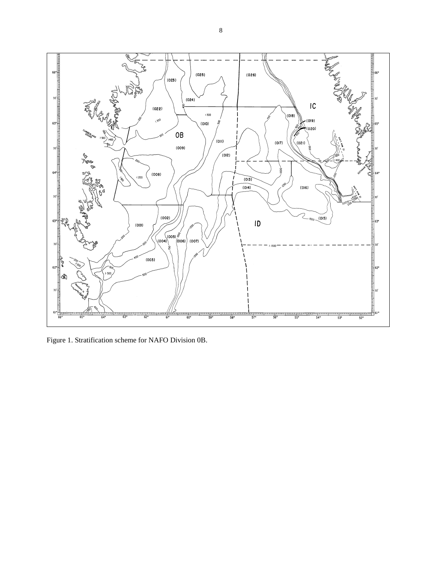

Figure 1. Stratification scheme for NAFO Division 0B.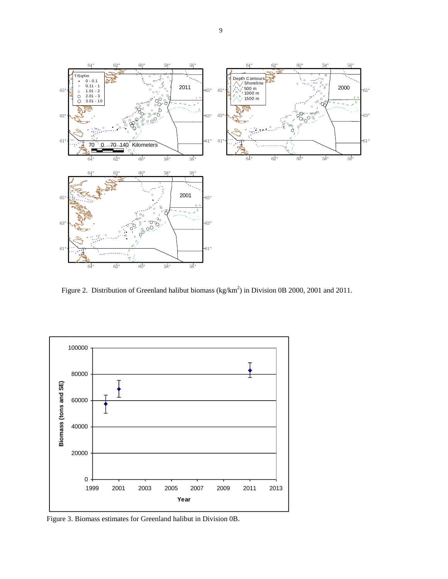

Figure 2. Distribution of Greenland halibut biomass (kg/km<sup>2</sup>) in Division 0B 2000, 2001 and 2011.



Figure 3. Biomass estimates for Greenland halibut in Division 0B.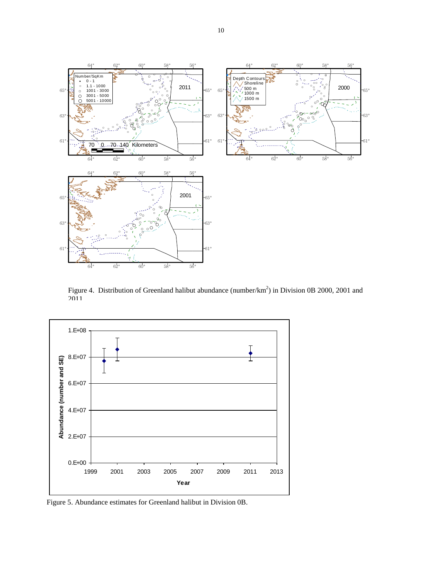

Figure 4. Distribution of Greenland halibut abundance (number/ $km^2$ ) in Division 0B 2000, 2001 and 2011.



Figure 5. Abundance estimates for Greenland halibut in Division 0B.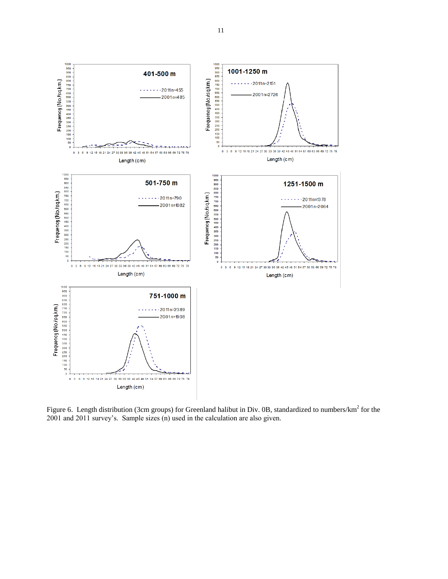

Figure 6. Length distribution (3cm groups) for Greenland halibut in Div. 0B, standardized to numbers/ $km^2$  for the 2001 and 2011 survey's. Sample sizes (n) used in the calculation are also given.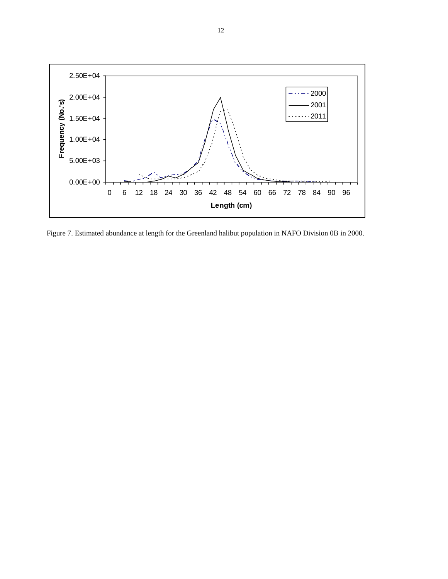

Figure 7. Estimated abundance at length for the Greenland halibut population in NAFO Division 0B in 2000.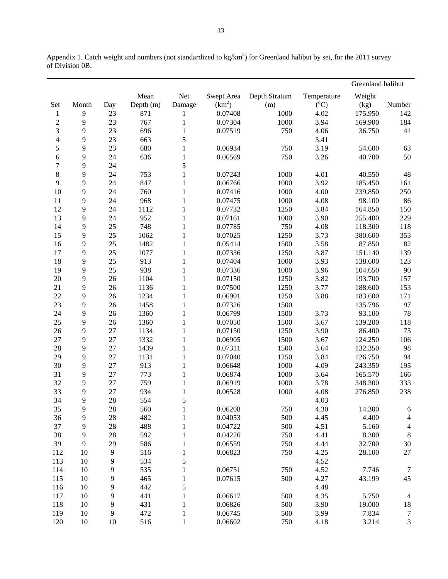|                          |       |                |           |              |                    |               |             | Greenland halibut |                          |
|--------------------------|-------|----------------|-----------|--------------|--------------------|---------------|-------------|-------------------|--------------------------|
|                          |       |                | Mean      | Net          | Swept Area         | Depth Stratum | Temperature | Weight            |                          |
| Set                      | Month | Day            | Depth (m) | Damage       | (km <sup>2</sup> ) | (m)           | $({}^0C)$   | (kg)              | Number                   |
| 1                        | 9     | 23             | 871       | 1            | 0.07408            | 1000          | 4.02        | 175.950           | 142                      |
| $\boldsymbol{2}$         | 9     | 23             | 767       | $\mathbf 1$  | 0.07304            | 1000          | 3.94        | 169.900           | 184                      |
| 3                        | 9     | 23             | 696       | $\,1$        | 0.07519            | 750           | 4.06        | 36.750            | 41                       |
| $\overline{\mathcal{L}}$ | 9     | 23             | 663       | 5            |                    |               | 3.41        |                   |                          |
| 5                        | 9     | 23             | 680       | $\,1$        | 0.06934            | 750           | 3.19        | 54.600            | 63                       |
| 6                        | 9     | 24             | 636       | $\,1\,$      | 0.06569            | 750           | 3.26        | 40.700            | 50                       |
| $\tau$                   | 9     | 24             |           | 5            |                    |               |             |                   |                          |
| 8                        | 9     | 24             | 753       | $\,1$        | 0.07243            | 1000          | 4.01        | 40.550            | 48                       |
| 9                        | 9     | 24             | 847       | $\mathbf{1}$ | 0.06766            | 1000          | 3.92        | 185.450           | 161                      |
| 10                       | 9     | 24             | 760       | $\mathbf{1}$ | 0.07416            | 1000          | 4.00        | 239.850           | 250                      |
| 11                       | 9     | 24             | 968       | $\mathbf{1}$ | 0.07475            | 1000          | 4.08        | 98.100            | 86                       |
| 12                       | 9     | 24             | 1112      | $\mathbf{1}$ | 0.07732            | 1250          | 3.84        | 164.850           | 150                      |
| 13                       | 9     | 24             | 952       | $\mathbf{1}$ | 0.07161            | 1000          | 3.90        | 255.400           | 229                      |
| 14                       | 9     | 25             | 748       | $\,1$        | 0.07785            | 750           | 4.08        | 118.300           | 118                      |
| 15                       | 9     | 25             | 1062      | $\,1$        | 0.07025            | 1250          | 3.73        | 380.600           | 353                      |
| 16                       | 9     | 25             | 1482      | $\,1$        | 0.05414            | 1500          | 3.58        | 87.850            | 82                       |
| 17                       | 9     | 25             | 1077      | $\,1$        | 0.07336            | 1250          | 3.87        | 151.140           | 139                      |
| 18                       | 9     | 25             | 913       | $\,1$        | 0.07404            | 1000          | 3.93        | 138.600           | 123                      |
| 19                       | 9     | 25             | 938       | $\,1$        | 0.07336            | 1000          | 3.96        | 104.650           | 90                       |
| $20\,$                   | 9     | 26             | 1104      | $\,1$        | 0.07150            | 1250          | 3.82        | 193.700           | 157                      |
| 21                       | 9     | 26             | 1136      | $\,1$        | 0.07500            | 1250          | 3.77        | 188.600           | 153                      |
| 22                       | 9     | 26             | 1234      | $\,1$        | 0.06901            | 1250          | 3.88        | 183.600           | 171                      |
| 23                       | 9     | 26             | 1458      | $\,1$        | 0.07326            | 1500          |             | 135.796           | 97                       |
| 24                       | 9     | 26             | 1360      | $\,1$        | 0.06799            | 1500          | 3.73        | 93.100            | 78                       |
| 25                       | 9     | 26             | 1360      | $\,1$        | 0.07050            | 1500          | 3.67        | 139.200           | 118                      |
| 26                       | 9     | 27             | 1134      | $\,1$        | 0.07150            | 1250          | 3.90        | 86.400            | 75                       |
| 27                       | 9     | 27             | 1332      | $\,1$        | 0.06905            | 1500          | 3.67        | 124.250           | 106                      |
| 28                       | 9     | 27             | 1439      | $\,1$        | 0.07311            | 1500          | 3.64        | 132.350           | 98                       |
| 29                       | 9     | 27             | 1131      | $\mathbf{1}$ | 0.07040            | 1250          | 3.84        | 126.750           | 94                       |
| 30                       | 9     | 27             | 913       | $\,1$        | 0.06648            | 1000          | 4.09        | 243.350           | 195                      |
| 31                       | 9     | 27             | 773       | $\,1$        | 0.06874            | 1000          | 3.64        | 165.570           | 166                      |
| 32                       | 9     | 27             | 759       | $\,1$        | 0.06919            | 1000          | 3.78        | 348.300           | 333                      |
| 33                       | 9     | 27             | 934       | $\,1$        | 0.06528            | 1000          | 4.08        | 276.850           | 238                      |
| 34                       | 9     | 28             | 554       | 5            |                    |               | 4.03        |                   |                          |
| 35                       | 9     | 28             | 560       | 1            | 0.06208            | 750           | 4.30        | 14.300            | 6                        |
| 36                       | 9     | 28             | 482       | $\mathbf{1}$ | 0.04053            | 500           | 4.45        | 4.400             | $\overline{\mathcal{A}}$ |
| 37                       | 9     | 28             | 488       | $\,1$        | 0.04722            | 500           | 4.51        | 5.160             | $\overline{4}$           |
| 38                       | 9     | 28             | 592       | $\,1$        | 0.04226            | 750           | 4.41        | 8.300             | $\,8\,$                  |
| 39                       | 9     | 29             | 586       | $\mathbf{1}$ | 0.06559            | 750           | 4.44        | 32.700            | 30                       |
| 112                      | 10    | $\overline{9}$ | 516       | $\,1$        | 0.06823            | 750           | 4.25        | 28.100            | $27\,$                   |
| 113                      | 10    | 9              | 534       | 5            |                    |               | 4.52        |                   |                          |
| 114                      | 10    | 9              | 535       | $\,1$        | 0.06751            | 750           | 4.52        | 7.746             | $\tau$                   |
| 115                      | 10    | 9              | 465       | $\,1$        | 0.07615            | 500           | 4.27        | 43.199            | $45\,$                   |
| 116                      | 10    | 9              | 442       | 5            |                    |               | 4.48        |                   |                          |
| 117                      | 10    | 9              | 441       | $\,1$        | 0.06617            | 500           | 4.35        | 5.750             | $\overline{4}$           |
| 118                      | 10    | 9              | 431       | $\,1$        | 0.06826            | 500           | 3.90        | 19.000            | $18\,$                   |
| 119                      | 10    | 9              | 472       | $\mathbf{1}$ | 0.06745            | 500           | 3.99        | 7.834             | $\tau$                   |
| 120                      | 10    | $10\,$         | 516       | $\mathbf{1}$ | 0.06602            | 750           | 4.18        | 3.214             | $\mathfrak{Z}$           |

Appendix 1. Catch weight and numbers (not standardized to  $kg/km<sup>2</sup>$ ) for Greenland halibut by set, for the 2011 survey of Division 0B.